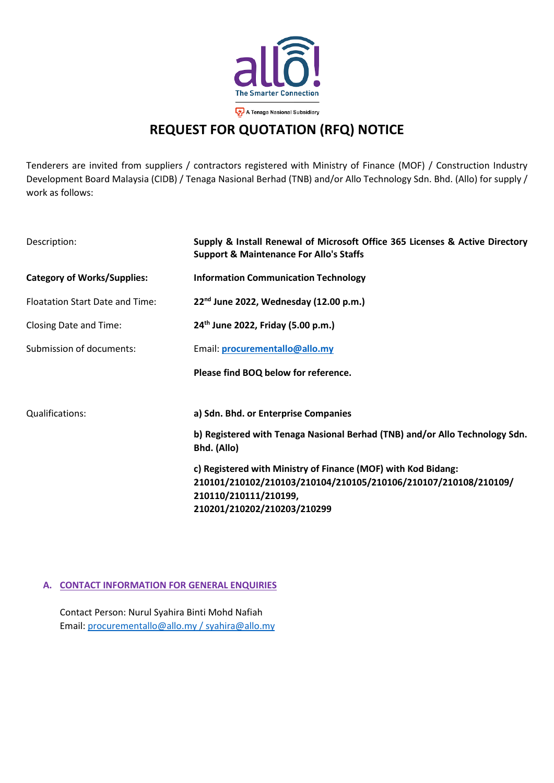

## **REQUEST FOR QUOTATION (RFQ) NOTICE**

Tenderers are invited from suppliers / contractors registered with Ministry of Finance (MOF) / Construction Industry Development Board Malaysia (CIDB) / Tenaga Nasional Berhad (TNB) and/or Allo Technology Sdn. Bhd. (Allo) for supply / work as follows:

| Description:                           | Supply & Install Renewal of Microsoft Office 365 Licenses & Active Directory<br><b>Support &amp; Maintenance For Allo's Staffs</b>                        |  |  |  |  |
|----------------------------------------|-----------------------------------------------------------------------------------------------------------------------------------------------------------|--|--|--|--|
| <b>Category of Works/Supplies:</b>     | <b>Information Communication Technology</b>                                                                                                               |  |  |  |  |
| <b>Floatation Start Date and Time:</b> | 22 <sup>nd</sup> June 2022, Wednesday (12.00 p.m.)                                                                                                        |  |  |  |  |
| Closing Date and Time:                 | 24 <sup>th</sup> June 2022, Friday (5.00 p.m.)                                                                                                            |  |  |  |  |
| Submission of documents:               | Email: procurementallo@allo.my                                                                                                                            |  |  |  |  |
|                                        | Please find BOQ below for reference.                                                                                                                      |  |  |  |  |
| Qualifications:                        | a) Sdn. Bhd. or Enterprise Companies                                                                                                                      |  |  |  |  |
|                                        | b) Registered with Tenaga Nasional Berhad (TNB) and/or Allo Technology Sdn.<br>Bhd. (Allo)                                                                |  |  |  |  |
|                                        | c) Registered with Ministry of Finance (MOF) with Kod Bidang:<br>210101/210102/210103/210104/210105/210106/210107/210108/210109/<br>210110/210111/210199, |  |  |  |  |
|                                        | 210201/210202/210203/210299                                                                                                                               |  |  |  |  |

## **A. CONTACT INFORMATION FOR GENERAL ENQUIRIES**

Contact Person: Nurul Syahira Binti Mohd Nafiah Email: [procurementallo@allo.my](mailto:procurementallo@allo.my) / syahira@allo.my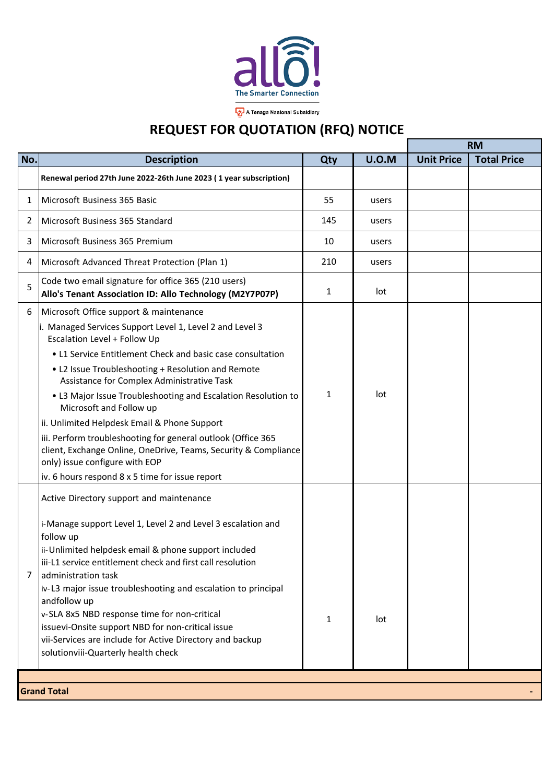

## **REQUEST FOR QUOTATION (RFQ) NOTICE**

|                    |                                                                                                                                                                                                                                                                                                                                                                                                                                                                                                                                                                                                                                                                          |              |              | <b>RM</b>         |                    |  |
|--------------------|--------------------------------------------------------------------------------------------------------------------------------------------------------------------------------------------------------------------------------------------------------------------------------------------------------------------------------------------------------------------------------------------------------------------------------------------------------------------------------------------------------------------------------------------------------------------------------------------------------------------------------------------------------------------------|--------------|--------------|-------------------|--------------------|--|
| No.                | <b>Description</b>                                                                                                                                                                                                                                                                                                                                                                                                                                                                                                                                                                                                                                                       | Qty          | <b>U.O.M</b> | <b>Unit Price</b> | <b>Total Price</b> |  |
|                    | Renewal period 27th June 2022-26th June 2023 (1 year subscription)                                                                                                                                                                                                                                                                                                                                                                                                                                                                                                                                                                                                       |              |              |                   |                    |  |
| 1                  | Microsoft Business 365 Basic                                                                                                                                                                                                                                                                                                                                                                                                                                                                                                                                                                                                                                             | 55           | users        |                   |                    |  |
| 2                  | Microsoft Business 365 Standard                                                                                                                                                                                                                                                                                                                                                                                                                                                                                                                                                                                                                                          | 145          | users        |                   |                    |  |
| 3                  | Microsoft Business 365 Premium                                                                                                                                                                                                                                                                                                                                                                                                                                                                                                                                                                                                                                           | 10           | users        |                   |                    |  |
| 4                  | Microsoft Advanced Threat Protection (Plan 1)                                                                                                                                                                                                                                                                                                                                                                                                                                                                                                                                                                                                                            | 210          | users        |                   |                    |  |
| 5                  | Code two email signature for office 365 (210 users)<br>Allo's Tenant Association ID: Allo Technology (M2Y7P07P)                                                                                                                                                                                                                                                                                                                                                                                                                                                                                                                                                          | $\mathbf{1}$ | lot          |                   |                    |  |
| 6                  | Microsoft Office support & maintenance<br>i. Managed Services Support Level 1, Level 2 and Level 3<br>Escalation Level + Follow Up<br>• L1 Service Entitlement Check and basic case consultation<br>• L2 Issue Troubleshooting + Resolution and Remote<br>Assistance for Complex Administrative Task<br>• L3 Major Issue Troubleshooting and Escalation Resolution to<br>Microsoft and Follow up<br>ii. Unlimited Helpdesk Email & Phone Support<br>iii. Perform troubleshooting for general outlook (Office 365<br>client, Exchange Online, OneDrive, Teams, Security & Compliance<br>only) issue configure with EOP<br>iv. 6 hours respond 8 x 5 time for issue report | $\mathbf{1}$ | lot          |                   |                    |  |
| 7                  | Active Directory support and maintenance<br>i-Manage support Level 1, Level 2 and Level 3 escalation and<br>follow up<br>ii-Unlimited helpdesk email & phone support included<br>iii-L1 service entitlement check and first call resolution<br>administration task<br>iv-L3 major issue troubleshooting and escalation to principal<br>andfollow up<br>v-SLA 8x5 NBD response time for non-critical<br>issuevi-Onsite support NBD for non-critical issue<br>vii-Services are include for Active Directory and backup<br>solutionviii-Quarterly health check                                                                                                              | 1            | lot          |                   |                    |  |
| <b>Grand Total</b> |                                                                                                                                                                                                                                                                                                                                                                                                                                                                                                                                                                                                                                                                          |              |              |                   |                    |  |